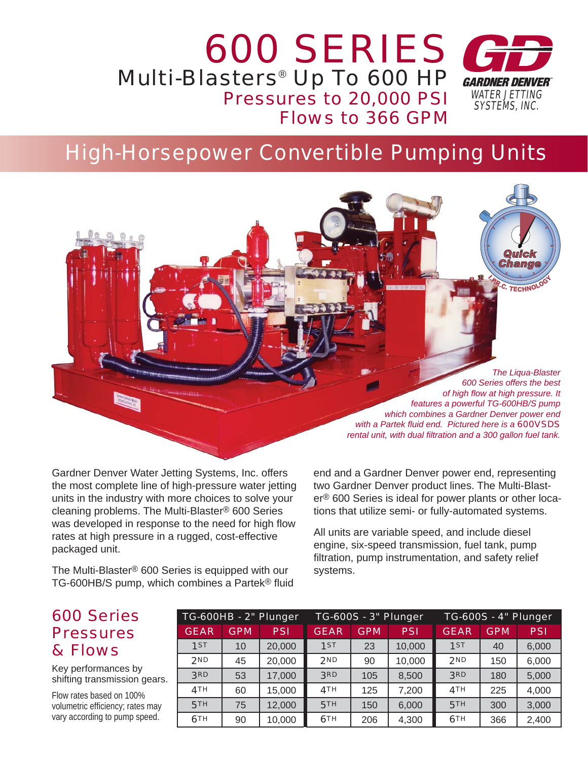### *600 SERIES* Multi-Blasters® Up To 600 HP **GARDNER DENVER** Pressures to 20,000 PSI *WATER JETTING SYSTEMS, INC.* Flows to 366 GPM

# High-Horsepower Convertible Pumping Units

*The Liqua-Blaster 600 Series offers the best of high fl ow at high pressure. It features a powerful TG-600HB/S pump which combines a Gardner Denver power end with a Partek fl uid end. Pictured here is a 600VSDS rental unit, with dual filtration and a 300 gallon fuel tank.* 

**Change**<br>**Change**<br>**Change** 

**I.R.C. TECHNOLOGY** 

Gardner Denver Water Jetting Systems, Inc. offers the most complete line of high-pressure water jetting units in the industry with more choices to solve your cleaning problems. The Multi-Blaster® 600 Series was developed in response to the need for high flow rates at high pressure in a rugged, cost-effective packaged unit.

The Multi-Blaster® 600 Series is equipped with our TG-600HB/S pump, which combines a Partek<sup>®</sup> fluid end and a Gardner Denver power end, representing two Gardner Denver product lines. The Multi-Blaster® 600 Series is ideal for power plants or other locations that utilize semi- or fully-automated systems.

All units are variable speed, and include diesel engine, six-speed transmission, fuel tank, pump filtration, pump instrumentation, and safety relief systems.

### 600 Series **Pressures** & Flows

Key performances by shifting transmission gears.

Flow rates based on 100% volumetric efficiency; rates may vary according to pump speed.

| TG-600HB - 2" Plunger |            |            |             | <b>TG-600S - 3" Plunger</b> |            | <b>TG-600S - 4" Plunger</b> |            |            |  |
|-----------------------|------------|------------|-------------|-----------------------------|------------|-----------------------------|------------|------------|--|
| <b>GEAR</b>           | <b>GPM</b> | <b>PSI</b> | <b>GEAR</b> | <b>GPM</b>                  | <b>PSI</b> | <b>GEAR</b>                 | <b>GPM</b> | <b>PSI</b> |  |
| 1ST                   | 10         | 20,000     | 1ST         | 23                          | 10,000     | 1ST                         | 40         | 6,000      |  |
| 2ND                   | 45         | 20,000     | 2ND         | 90                          | 10,000     | 2ND                         | 150        | 6,000      |  |
| 3RD                   | 53         | 17,000     | 3RD         | 105                         | 8,500      | 3RD                         | 180        | 5,000      |  |
| 4TH                   | 60         | 15,000     | 4TH         | 125                         | 7,200      | 4TH                         | 225        | 4,000      |  |
| 5TH                   | 75         | 12,000     | <b>5TH</b>  | 150                         | 6,000      | 5TH                         | 300        | 3,000      |  |
| 6TH                   | 90         | 10,000     | 6TH         | 206                         | 4,300      | 6TH                         | 366        | 2,400      |  |